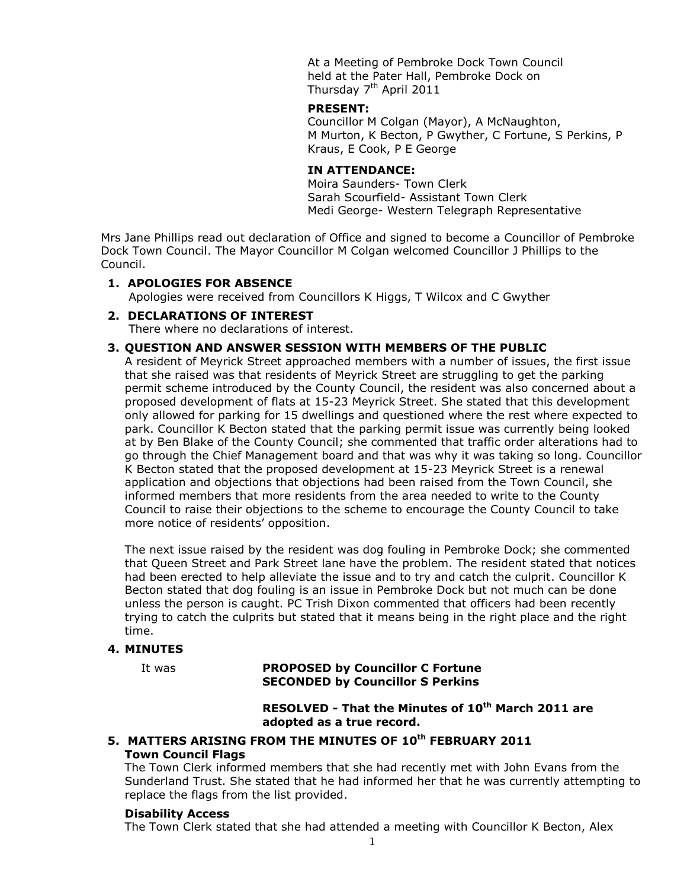At a Meeting of Pembroke Dock Town Council held at the Pater Hall, Pembroke Dock on Thursday 7<sup>th</sup> April 2011

#### **PRESENT:**

Councillor M Colgan (Mayor), A McNaughton, M Murton, K Becton, P Gwyther, C Fortune, S Perkins, P Kraus, E Cook, P E George

## **IN ATTENDANCE:**

Moira Saunders- Town Clerk Sarah Scourfield- Assistant Town Clerk Medi George- Western Telegraph Representative

Mrs Jane Phillips read out declaration of Office and signed to become a Councillor of Pembroke Dock Town Council. The Mayor Councillor M Colgan welcomed Councillor J Phillips to the Council.

## **1. APOLOGIES FOR ABSENCE**

Apologies were received from Councillors K Higgs, T Wilcox and C Gwyther

#### **2. DECLARATIONS OF INTEREST**

There where no declarations of interest.

#### **3. QUESTION AND ANSWER SESSION WITH MEMBERS OF THE PUBLIC**

A resident of Meyrick Street approached members with a number of issues, the first issue that she raised was that residents of Meyrick Street are struggling to get the parking permit scheme introduced by the County Council, the resident was also concerned about a proposed development of flats at 15-23 Meyrick Street. She stated that this development only allowed for parking for 15 dwellings and questioned where the rest where expected to park. Councillor K Becton stated that the parking permit issue was currently being looked at by Ben Blake of the County Council; she commented that traffic order alterations had to go through the Chief Management board and that was why it was taking so long. Councillor K Becton stated that the proposed development at 15-23 Meyrick Street is a renewal application and objections that objections had been raised from the Town Council, she informed members that more residents from the area needed to write to the County Council to raise their objections to the scheme to encourage the County Council to take more notice of residents' opposition.

The next issue raised by the resident was dog fouling in Pembroke Dock; she commented that Queen Street and Park Street lane have the problem. The resident stated that notices had been erected to help alleviate the issue and to try and catch the culprit. Councillor K Becton stated that dog fouling is an issue in Pembroke Dock but not much can be done unless the person is caught. PC Trish Dixon commented that officers had been recently trying to catch the culprits but stated that it means being in the right place and the right time.

#### **4. MINUTES**

## It was **PROPOSED by Councillor C Fortune SECONDED by Councillor S Perkins**

**RESOLVED - That the Minutes of 10th March 2011 are adopted as a true record.**

## **5. MATTERS ARISING FROM THE MINUTES OF 10th FEBRUARY 2011 Town Council Flags**

The Town Clerk informed members that she had recently met with John Evans from the Sunderland Trust. She stated that he had informed her that he was currently attempting to replace the flags from the list provided.

#### **Disability Access**

The Town Clerk stated that she had attended a meeting with Councillor K Becton, Alex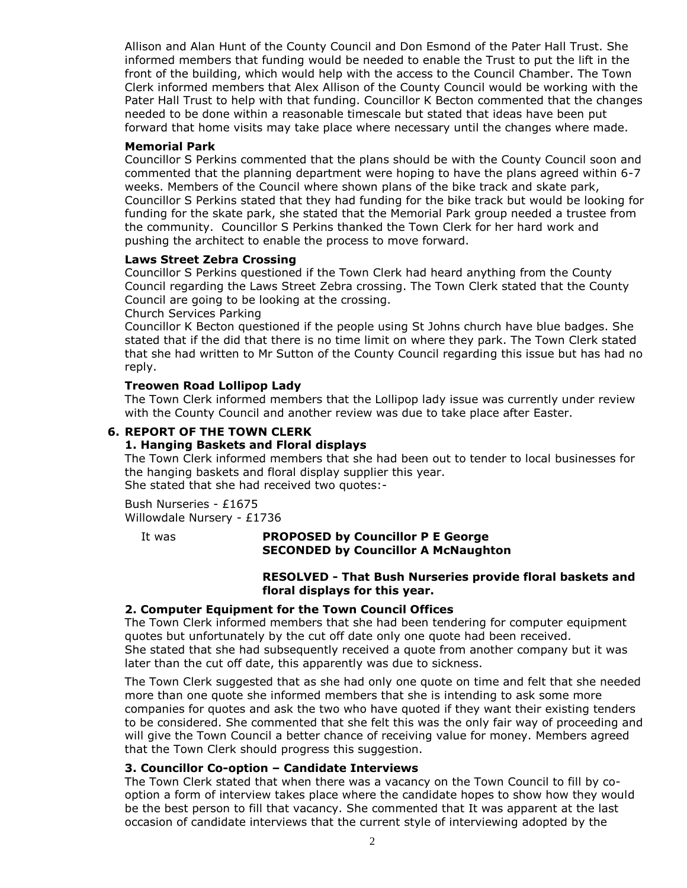Allison and Alan Hunt of the County Council and Don Esmond of the Pater Hall Trust. She informed members that funding would be needed to enable the Trust to put the lift in the front of the building, which would help with the access to the Council Chamber. The Town Clerk informed members that Alex Allison of the County Council would be working with the Pater Hall Trust to help with that funding. Councillor K Becton commented that the changes needed to be done within a reasonable timescale but stated that ideas have been put forward that home visits may take place where necessary until the changes where made.

#### **Memorial Park**

Councillor S Perkins commented that the plans should be with the County Council soon and commented that the planning department were hoping to have the plans agreed within 6-7 weeks. Members of the Council where shown plans of the bike track and skate park, Councillor S Perkins stated that they had funding for the bike track but would be looking for funding for the skate park, she stated that the Memorial Park group needed a trustee from the community. Councillor S Perkins thanked the Town Clerk for her hard work and pushing the architect to enable the process to move forward.

#### **Laws Street Zebra Crossing**

Councillor S Perkins questioned if the Town Clerk had heard anything from the County Council regarding the Laws Street Zebra crossing. The Town Clerk stated that the County Council are going to be looking at the crossing.

#### Church Services Parking

Councillor K Becton questioned if the people using St Johns church have blue badges. She stated that if the did that there is no time limit on where they park. The Town Clerk stated that she had written to Mr Sutton of the County Council regarding this issue but has had no reply.

#### **Treowen Road Lollipop Lady**

The Town Clerk informed members that the Lollipop lady issue was currently under review with the County Council and another review was due to take place after Easter.

#### **6. REPORT OF THE TOWN CLERK**

#### **1. Hanging Baskets and Floral displays**

The Town Clerk informed members that she had been out to tender to local businesses for the hanging baskets and floral display supplier this year. She stated that she had received two quotes:-

Bush Nurseries - £1675 Willowdale Nursery - £1736

#### It was **PROPOSED by Councillor P E George SECONDED by Councillor A McNaughton**

#### **RESOLVED - That Bush Nurseries provide floral baskets and floral displays for this year.**

#### **2. Computer Equipment for the Town Council Offices**

The Town Clerk informed members that she had been tendering for computer equipment quotes but unfortunately by the cut off date only one quote had been received. She stated that she had subsequently received a quote from another company but it was later than the cut off date, this apparently was due to sickness.

The Town Clerk suggested that as she had only one quote on time and felt that she needed more than one quote she informed members that she is intending to ask some more companies for quotes and ask the two who have quoted if they want their existing tenders to be considered. She commented that she felt this was the only fair way of proceeding and will give the Town Council a better chance of receiving value for money. Members agreed that the Town Clerk should progress this suggestion.

#### **3. Councillor Co-option – Candidate Interviews**

The Town Clerk stated that when there was a vacancy on the Town Council to fill by cooption a form of interview takes place where the candidate hopes to show how they would be the best person to fill that vacancy. She commented that It was apparent at the last occasion of candidate interviews that the current style of interviewing adopted by the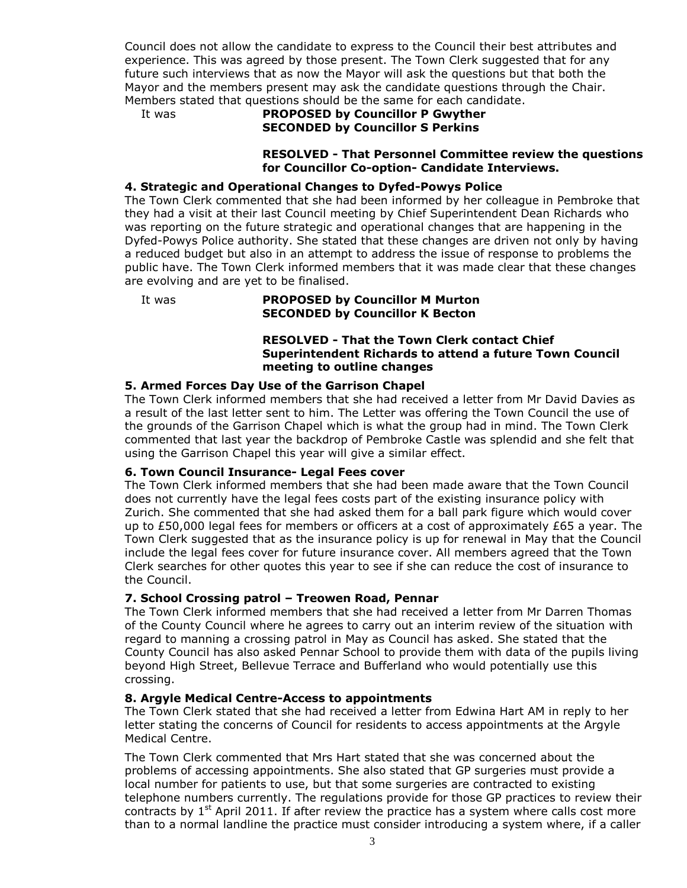Council does not allow the candidate to express to the Council their best attributes and experience. This was agreed by those present. The Town Clerk suggested that for any future such interviews that as now the Mayor will ask the questions but that both the Mayor and the members present may ask the candidate questions through the Chair. Members stated that questions should be the same for each candidate.

## It was **PROPOSED by Councillor P Gwyther SECONDED by Councillor S Perkins**

#### **RESOLVED - That Personnel Committee review the questions for Councillor Co-option- Candidate Interviews.**

## **4. Strategic and Operational Changes to Dyfed-Powys Police**

The Town Clerk commented that she had been informed by her colleague in Pembroke that they had a visit at their last Council meeting by Chief Superintendent Dean Richards who was reporting on the future strategic and operational changes that are happening in the Dyfed-Powys Police authority. She stated that these changes are driven not only by having a reduced budget but also in an attempt to address the issue of response to problems the public have. The Town Clerk informed members that it was made clear that these changes are evolving and are yet to be finalised.

#### It was **PROPOSED by Councillor M Murton SECONDED by Councillor K Becton**

## **RESOLVED - That the Town Clerk contact Chief Superintendent Richards to attend a future Town Council meeting to outline changes**

## **5. Armed Forces Day Use of the Garrison Chapel**

The Town Clerk informed members that she had received a letter from Mr David Davies as a result of the last letter sent to him. The Letter was offering the Town Council the use of the grounds of the Garrison Chapel which is what the group had in mind. The Town Clerk commented that last year the backdrop of Pembroke Castle was splendid and she felt that using the Garrison Chapel this year will give a similar effect.

#### **6. Town Council Insurance- Legal Fees cover**

The Town Clerk informed members that she had been made aware that the Town Council does not currently have the legal fees costs part of the existing insurance policy with Zurich. She commented that she had asked them for a ball park figure which would cover up to  $£50,000$  legal fees for members or officers at a cost of approximately  $£65$  a year. The Town Clerk suggested that as the insurance policy is up for renewal in May that the Council include the legal fees cover for future insurance cover. All members agreed that the Town Clerk searches for other quotes this year to see if she can reduce the cost of insurance to the Council.

#### **7. School Crossing patrol – Treowen Road, Pennar**

The Town Clerk informed members that she had received a letter from Mr Darren Thomas of the County Council where he agrees to carry out an interim review of the situation with regard to manning a crossing patrol in May as Council has asked. She stated that the County Council has also asked Pennar School to provide them with data of the pupils living beyond High Street, Bellevue Terrace and Bufferland who would potentially use this crossing.

#### **8. Argyle Medical Centre-Access to appointments**

The Town Clerk stated that she had received a letter from Edwina Hart AM in reply to her letter stating the concerns of Council for residents to access appointments at the Argyle Medical Centre.

The Town Clerk commented that Mrs Hart stated that she was concerned about the problems of accessing appointments. She also stated that GP surgeries must provide a local number for patients to use, but that some surgeries are contracted to existing telephone numbers currently. The regulations provide for those GP practices to review their contracts by  $1<sup>st</sup>$  April 2011. If after review the practice has a system where calls cost more than to a normal landline the practice must consider introducing a system where, if a caller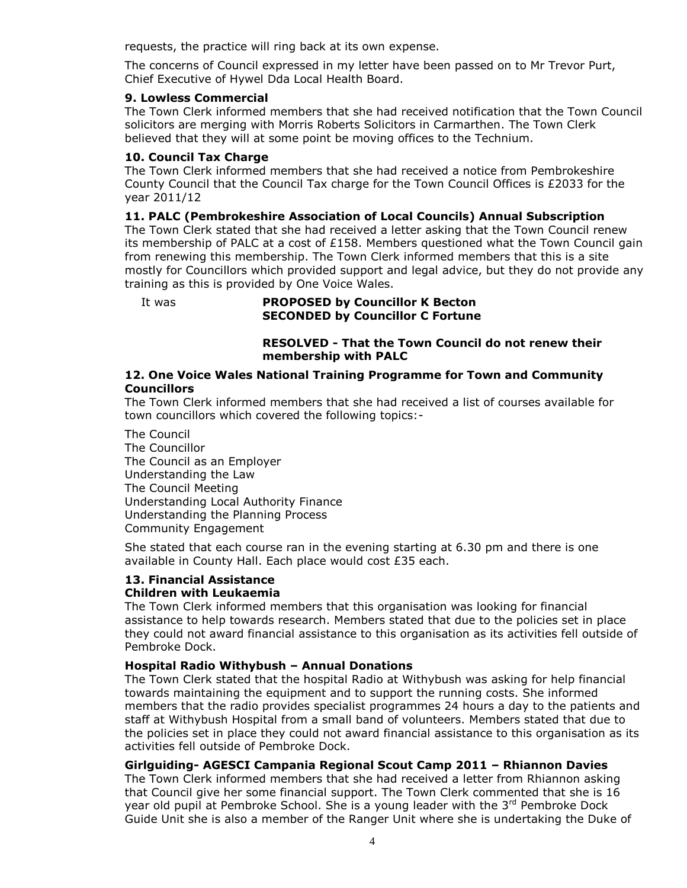requests, the practice will ring back at its own expense.

The concerns of Council expressed in my letter have been passed on to Mr Trevor Purt, Chief Executive of Hywel Dda Local Health Board.

#### **9. Lowless Commercial**

The Town Clerk informed members that she had received notification that the Town Council solicitors are merging with Morris Roberts Solicitors in Carmarthen. The Town Clerk believed that they will at some point be moving offices to the Technium.

## **10. Council Tax Charge**

The Town Clerk informed members that she had received a notice from Pembrokeshire County Council that the Council Tax charge for the Town Council Offices is £2033 for the year 2011/12

## **11. PALC (Pembrokeshire Association of Local Councils) Annual Subscription**

The Town Clerk stated that she had received a letter asking that the Town Council renew its membership of PALC at a cost of  $£158$ . Members questioned what the Town Council gain from renewing this membership. The Town Clerk informed members that this is a site mostly for Councillors which provided support and legal advice, but they do not provide any training as this is provided by One Voice Wales.

#### It was **PROPOSED by Councillor K Becton SECONDED by Councillor C Fortune**

## **RESOLVED - That the Town Council do not renew their membership with PALC**

#### **12. One Voice Wales National Training Programme for Town and Community Councillors**

The Town Clerk informed members that she had received a list of courses available for town councillors which covered the following topics:-

The Council The Councillor The Council as an Employer Understanding the Law The Council Meeting Understanding Local Authority Finance Understanding the Planning Process Community Engagement

She stated that each course ran in the evening starting at 6.30 pm and there is one available in County Hall. Each place would cost £35 each.

# **13. Financial Assistance**

## **Children with Leukaemia**

The Town Clerk informed members that this organisation was looking for financial assistance to help towards research. Members stated that due to the policies set in place they could not award financial assistance to this organisation as its activities fell outside of Pembroke Dock.

## **Hospital Radio Withybush – Annual Donations**

The Town Clerk stated that the hospital Radio at Withybush was asking for help financial towards maintaining the equipment and to support the running costs. She informed members that the radio provides specialist programmes 24 hours a day to the patients and staff at Withybush Hospital from a small band of volunteers. Members stated that due to the policies set in place they could not award financial assistance to this organisation as its activities fell outside of Pembroke Dock.

#### **Girlguiding- AGESCI Campania Regional Scout Camp 2011 – Rhiannon Davies**

The Town Clerk informed members that she had received a letter from Rhiannon asking that Council give her some financial support. The Town Clerk commented that she is 16 year old pupil at Pembroke School. She is a young leader with the 3<sup>rd</sup> Pembroke Dock Guide Unit she is also a member of the Ranger Unit where she is undertaking the Duke of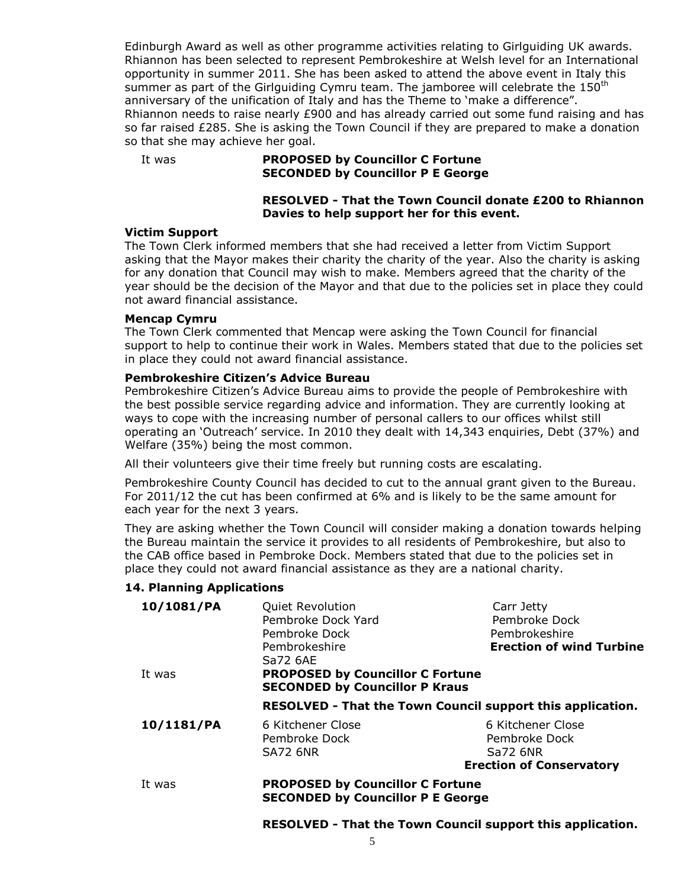Edinburgh Award as well as other programme activities relating to Girlguiding UK awards. Rhiannon has been selected to represent Pembrokeshire at Welsh level for an International opportunity in summer 2011. She has been asked to attend the above event in Italy this summer as part of the Girlguiding Cymru team. The jamboree will celebrate the  $150<sup>th</sup>$ anniversary of the unification of Italy and has the Theme to 'make a difference". Rhiannon needs to raise nearly  $£900$  and has already carried out some fund raising and has so far raised £285. She is asking the Town Council if they are prepared to make a donation so that she may achieve her goal.

#### It was **PROPOSED by Councillor C Fortune SECONDED by Councillor P E George**

## **RESOLVED - That the Town Council donate £200 to Rhiannon Davies to help support her for this event.**

#### **Victim Support**

The Town Clerk informed members that she had received a letter from Victim Support asking that the Mayor makes their charity the charity of the year. Also the charity is asking for any donation that Council may wish to make. Members agreed that the charity of the year should be the decision of the Mayor and that due to the policies set in place they could not award financial assistance.

#### **Mencap Cymru**

The Town Clerk commented that Mencap were asking the Town Council for financial support to help to continue their work in Wales. Members stated that due to the policies set in place they could not award financial assistance.

#### **Pembrokeshire Citizen's Advice Bureau**

Pembrokeshire Citizen's Advice Bureau aims to provide the people of Pembrokeshire with the best possible service regarding advice and information. They are currently looking at ways to cope with the increasing number of personal callers to our offices whilst still operating an 'Outreach' service. In 2010 they dealt with 14,343 enquiries, Debt (37%) and Welfare (35%) being the most common.

All their volunteers give their time freely but running costs are escalating.

Pembrokeshire County Council has decided to cut to the annual grant given to the Bureau. For 2011/12 the cut has been confirmed at 6% and is likely to be the same amount for each year for the next 3 years.

They are asking whether the Town Council will consider making a donation towards helping the Bureau maintain the service it provides to all residents of Pembrokeshire, but also to the CAB office based in Pembroke Dock. Members stated that due to the policies set in place they could not award financial assistance as they are a national charity.

#### **14. Planning Applications**

| 10/1081/PA | <b>Quiet Revolution</b><br>Pembroke Dock Yard<br>Pembroke Dock<br>Pembrokeshire              | Carr Jetty<br>Pembroke Dock<br>Pembrokeshire<br><b>Erection of wind Turbine</b>   |  |
|------------|----------------------------------------------------------------------------------------------|-----------------------------------------------------------------------------------|--|
| It was     | Sa72 6AE<br><b>PROPOSED by Councillor C Fortune</b><br><b>SECONDED by Councillor P Kraus</b> |                                                                                   |  |
|            | RESOLVED - That the Town Council support this application.                                   |                                                                                   |  |
| 10/1181/PA | 6 Kitchener Close<br>Pembroke Dock<br><b>SA72 6NR</b>                                        | 6 Kitchener Close<br>Pembroke Dock<br>Sa72 6NR<br><b>Erection of Conservatory</b> |  |
| It was     | <b>PROPOSED by Councillor C Fortune</b><br><b>SECONDED by Councillor P E George</b>          |                                                                                   |  |

#### **RESOLVED - That the Town Council support this application.**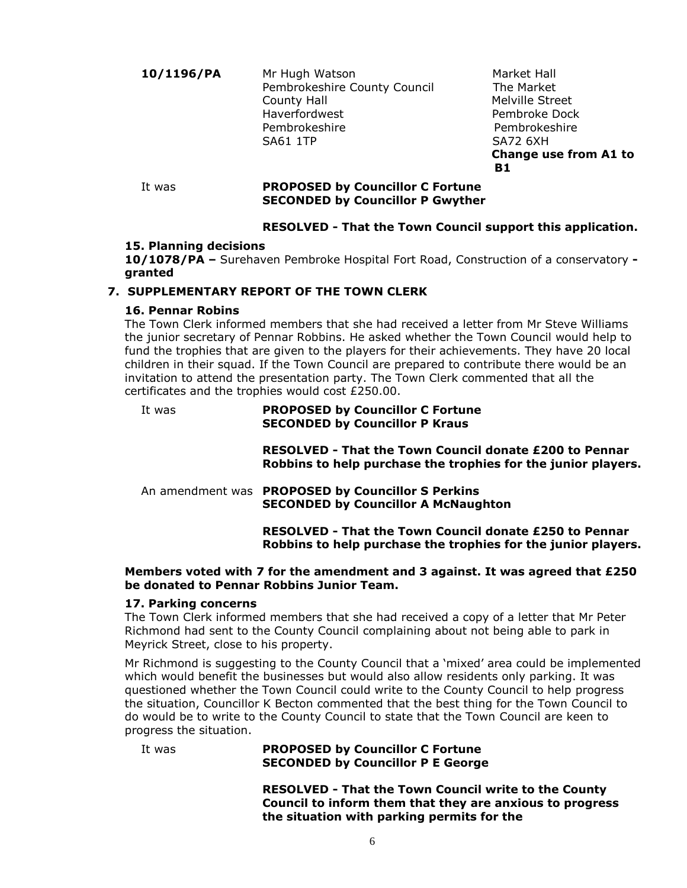10/1196/PA Mr Hugh Watson Market Hall Pembrokeshire County Council The Market County Hall **Melville** Street Haverfordwest **Pembroke Dock**  Pembrokeshire Pembrokeshire SA61 1TP SA72 6XH

 **Change use from A1 to B1**

## It was **PROPOSED by Councillor C Fortune SECONDED by Councillor P Gwyther**

## **RESOLVED - That the Town Council support this application.**

## **15. Planning decisions**

**10/1078/PA –** Surehaven Pembroke Hospital Fort Road, Construction of a conservatory  **granted**

## **7. SUPPLEMENTARY REPORT OF THE TOWN CLERK**

## **16. Pennar Robins**

The Town Clerk informed members that she had received a letter from Mr Steve Williams the junior secretary of Pennar Robbins. He asked whether the Town Council would help to fund the trophies that are given to the players for their achievements. They have 20 local children in their squad. If the Town Council are prepared to contribute there would be an invitation to attend the presentation party. The Town Clerk commented that all the certificates and the trophies would cost £250.00.

#### It was **PROPOSED by Councillor C Fortune SECONDED by Councillor P Kraus**

**RESOLVED - That the Town Council donate £200 to Pennar Robbins to help purchase the trophies for the junior players.**

An amendment was **PROPOSED by Councillor S Perkins SECONDED by Councillor A McNaughton**

> **RESOLVED - That the Town Council donate £250 to Pennar Robbins to help purchase the trophies for the junior players.**

## **Members voted with 7 for the amendment and 3 against. It was agreed that £250 be donated to Pennar Robbins Junior Team.**

#### **17. Parking concerns**

The Town Clerk informed members that she had received a copy of a letter that Mr Peter Richmond had sent to the County Council complaining about not being able to park in Meyrick Street, close to his property.

Mr Richmond is suggesting to the County Council that a 'mixed' area could be implemented which would benefit the businesses but would also allow residents only parking. It was questioned whether the Town Council could write to the County Council to help progress the situation, Councillor K Becton commented that the best thing for the Town Council to do would be to write to the County Council to state that the Town Council are keen to progress the situation.

It was **PROPOSED by Councillor C Fortune SECONDED by Councillor P E George**

> **RESOLVED - That the Town Council write to the County Council to inform them that they are anxious to progress the situation with parking permits for the**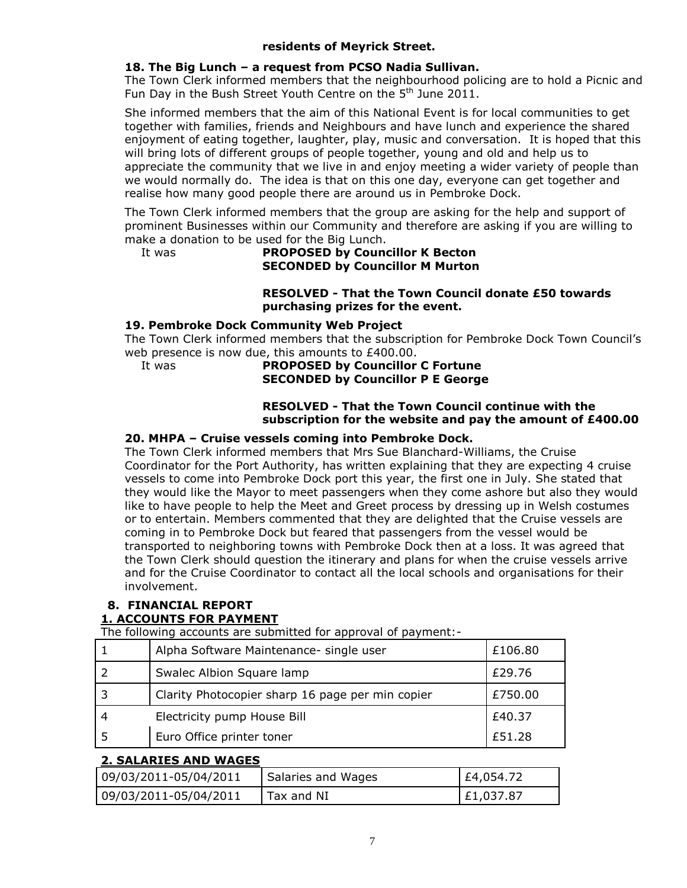## **residents of Meyrick Street.**

## **18. The Big Lunch – a request from PCSO Nadia Sullivan.**

The Town Clerk informed members that the neighbourhood policing are to hold a Picnic and Fun Day in the Bush Street Youth Centre on the 5<sup>th</sup> June 2011.

She informed members that the aim of this National Event is for local communities to get together with families, friends and Neighbours and have lunch and experience the shared enjoyment of eating together, laughter, play, music and conversation. It is hoped that this will bring lots of different groups of people together, young and old and help us to appreciate the community that we live in and enjoy meeting a wider variety of people than we would normally do. The idea is that on this one day, everyone can get together and realise how many good people there are around us in Pembroke Dock.

The Town Clerk informed members that the group are asking for the help and support of prominent Businesses within our Community and therefore are asking if you are willing to make a donation to be used for the Big Lunch.

## It was **PROPOSED by Councillor K Becton SECONDED by Councillor M Murton**

## **RESOLVED - That the Town Council donate £50 towards purchasing prizes for the event.**

#### **19. Pembroke Dock Community Web Project**

The Town Clerk informed members that the subscription for Pembroke Dock Town Council's web presence is now due, this amounts to £400.00.

## It was **PROPOSED by Councillor C Fortune SECONDED by Councillor P E George**

#### **RESOLVED - That the Town Council continue with the subscription for the website and pay the amount of £400.00**

## **20. MHPA – Cruise vessels coming into Pembroke Dock.**

The Town Clerk informed members that Mrs Sue Blanchard-Williams, the Cruise Coordinator for the Port Authority, has written explaining that they are expecting 4 cruise vessels to come into Pembroke Dock port this year, the first one in July. She stated that they would like the Mayor to meet passengers when they come ashore but also they would like to have people to help the Meet and Greet process by dressing up in Welsh costumes or to entertain. Members commented that they are delighted that the Cruise vessels are coming in to Pembroke Dock but feared that passengers from the vessel would be transported to neighboring towns with Pembroke Dock then at a loss. It was agreed that the Town Clerk should question the itinerary and plans for when the cruise vessels arrive and for the Cruise Coordinator to contact all the local schools and organisations for their involvement.

#### **8. FINANCIAL REPORT 1. ACCOUNTS FOR PAYMENT**

The following accounts are submitted for approval of payment:-

| Alpha Software Maintenance- single user          | £106.80 |
|--------------------------------------------------|---------|
| Swalec Albion Square lamp                        | £29.76  |
| Clarity Photocopier sharp 16 page per min copier | £750.00 |
| Electricity pump House Bill                      | £40.37  |
| Euro Office printer toner                        | £51.28  |

## **2. SALARIES AND WAGES**

| 09/03/2011-05/04/2011 | Salaries and Wages | £4,054.72 |
|-----------------------|--------------------|-----------|
| 09/03/2011-05/04/2011 | Tax and NI         | £1,037.87 |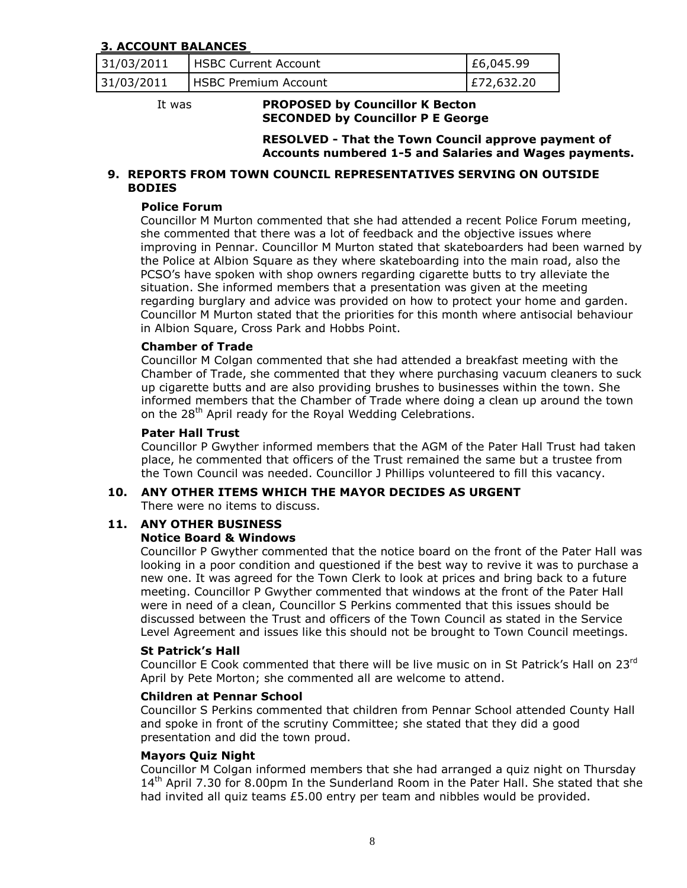## **3. ACCOUNT BALANCES**

| 31/03/2011 | <b>HSBC Current Account</b> | E6,045.99  |
|------------|-----------------------------|------------|
| 31/03/2011 | <b>HSBC Premium Account</b> | E72,632.20 |

#### It was **PROPOSED by Councillor K Becton SECONDED by Councillor P E George**

**RESOLVED - That the Town Council approve payment of Accounts numbered 1-5 and Salaries and Wages payments.**

#### **9. REPORTS FROM TOWN COUNCIL REPRESENTATIVES SERVING ON OUTSIDE BODIES**

## **Police Forum**

Councillor M Murton commented that she had attended a recent Police Forum meeting, she commented that there was a lot of feedback and the objective issues where improving in Pennar. Councillor M Murton stated that skateboarders had been warned by the Police at Albion Square as they where skateboarding into the main road, also the PCSO's have spoken with shop owners regarding cigarette butts to try alleviate the situation. She informed members that a presentation was given at the meeting regarding burglary and advice was provided on how to protect your home and garden. Councillor M Murton stated that the priorities for this month where antisocial behaviour in Albion Square, Cross Park and Hobbs Point.

#### **Chamber of Trade**

Councillor M Colgan commented that she had attended a breakfast meeting with the Chamber of Trade, she commented that they where purchasing vacuum cleaners to suck up cigarette butts and are also providing brushes to businesses within the town. She informed members that the Chamber of Trade where doing a clean up around the town on the 28<sup>th</sup> April ready for the Royal Wedding Celebrations.

#### **Pater Hall Trust**

Councillor P Gwyther informed members that the AGM of the Pater Hall Trust had taken place, he commented that officers of the Trust remained the same but a trustee from the Town Council was needed. Councillor J Phillips volunteered to fill this vacancy.

#### **10. ANY OTHER ITEMS WHICH THE MAYOR DECIDES AS URGENT**

There were no items to discuss.

#### **11. ANY OTHER BUSINESS**

#### **Notice Board & Windows**

Councillor P Gwyther commented that the notice board on the front of the Pater Hall was looking in a poor condition and questioned if the best way to revive it was to purchase a new one. It was agreed for the Town Clerk to look at prices and bring back to a future meeting. Councillor P Gwyther commented that windows at the front of the Pater Hall were in need of a clean, Councillor S Perkins commented that this issues should be discussed between the Trust and officers of the Town Council as stated in the Service Level Agreement and issues like this should not be brought to Town Council meetings.

#### **St Patrick's Hall**

Councillor E Cook commented that there will be live music on in St Patrick's Hall on 23rd April by Pete Morton; she commented all are welcome to attend.

#### **Children at Pennar School**

Councillor S Perkins commented that children from Pennar School attended County Hall and spoke in front of the scrutiny Committee; she stated that they did a good presentation and did the town proud.

#### **Mayors Quiz Night**

Councillor M Colgan informed members that she had arranged a quiz night on Thursday 14<sup>th</sup> April 7.30 for 8.00pm In the Sunderland Room in the Pater Hall. She stated that she had invited all quiz teams £5.00 entry per team and nibbles would be provided.